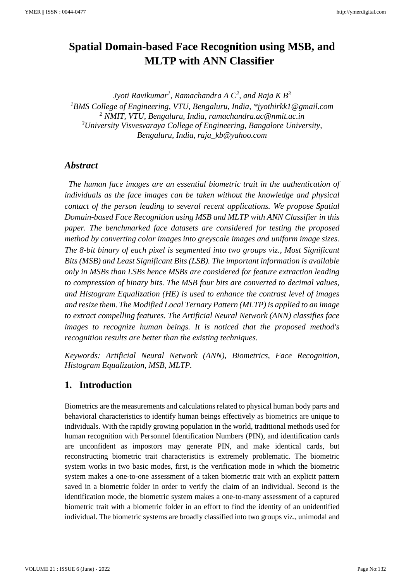# **Spatial Domain-based Face Recognition using MSB, and MLTP with ANN Classifier**

*Jyoti Ravikumar<sup>1</sup> , Ramachandra A C<sup>2</sup> , and Raja K B<sup>3</sup> <sup>1</sup>BMS College of Engineering, VTU, Bengaluru, India, \*jyothirkk1@gmail.com <sup>2</sup> NMIT, VTU, Bengaluru, India, ramachandra.ac@nmit.ac.in <sup>3</sup>University Visvesvaraya College of Engineering, Bangalore University, Bengaluru, India, raja\_kb@yahoo.com*

### *Abstract*

*The human face images are an essential biometric trait in the authentication of individuals as the face images can be taken without the knowledge and physical contact of the person leading to several recent applications. We propose Spatial Domain-based Face Recognition using MSB and MLTP with ANN Classifier in this paper. The benchmarked face datasets are considered for testing the proposed method by converting color images into greyscale images and uniform image sizes. The 8-bit binary of each pixel is segmented into two groups viz., Most Significant Bits (MSB) and Least Significant Bits (LSB). The important information is available only in MSBs than LSBs hence MSBs are considered for feature extraction leading to compression of binary bits. The MSB four bits are converted to decimal values, and Histogram Equalization (HE) is used to enhance the contrast level of images and resize them. The Modified Local Ternary Pattern (MLTP) is applied to an image to extract compelling features. The Artificial Neural Network (ANN) classifies face images to recognize human beings. It is noticed that the proposed method's recognition results are better than the existing techniques.*

*Keywords: Artificial Neural Network (ANN), Biometrics, Face Recognition, Histogram Equalization, MSB, MLTP.*

# **1. Introduction**

Biometrics are the measurements and calculations related to physical human body parts and behavioral characteristics to identify human beings effectively as biometrics are unique to individuals. With the rapidly growing population in the world, traditional methods used for human recognition with Personnel Identification Numbers (PIN), and identification cards are unconfident as impostors may generate PIN, and make identical cards, but reconstructing biometric trait characteristics is extremely problematic. The biometric system works in two basic modes, first, is the verification mode in which the biometric system makes a one-to-one assessment of a taken biometric trait with an explicit pattern saved in a biometric folder in order to verify the claim of an individual. Second is the identification mode, the biometric system makes a one-to-many assessment of a captured biometric trait with a biometric folder in an effort to find the identity of an unidentified individual. The biometric systems are broadly classified into two groups viz., unimodal and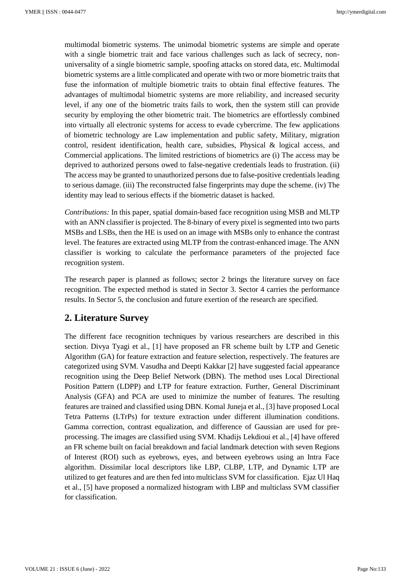multimodal biometric systems. The unimodal biometric systems are simple and operate with a single biometric trait and face various challenges such as lack of secrecy, nonuniversality of a single biometric sample, spoofing attacks on stored data, etc. Multimodal biometric systems are a little complicated and operate with two or more biometric traits that fuse the information of multiple biometric traits to obtain final effective features. The advantages of multimodal biometric systems are more reliability, and increased security level, if any one of the biometric traits fails to work, then the system still can provide security by employing the other biometric trait. The biometrics are effortlessly combined into virtually all electronic systems for access to evade cybercrime. The few applications of biometric technology are Law implementation and public safety, Military, migration control, resident identification, health care, subsidies, Physical & logical access, and Commercial applications. The limited restrictions of biometrics are (i) The access may be deprived to authorized persons owed to false-negative credentials leads to frustration. (ii) The access may be granted to unauthorized persons due to false-positive credentials leading to serious damage. (iii) The reconstructed false fingerprints may dupe the scheme. (iv) The identity may lead to serious effects if the biometric dataset is hacked.

*Contributions:* In this paper, spatial domain-based face recognition using MSB and MLTP with an ANN classifier is projected. The 8-binary of every pixel is segmented into two parts MSBs and LSBs, then the HE is used on an image with MSBs only to enhance the contrast level. The features are extracted using MLTP from the contrast-enhanced image. The ANN classifier is working to calculate the performance parameters of the projected face recognition system.

The research paper is planned as follows; sector 2 brings the literature survey on face recognition. The expected method is stated in Sector 3. Sector 4 carries the performance results. In Sector 5, the conclusion and future exertion of the research are specified.

#### **2. Literature Survey**

The different face recognition techniques by various researchers are described in this section. Divya Tyagi et al., [1] have proposed an FR scheme built by LTP and Genetic Algorithm (GA) for feature extraction and feature selection, respectively. The features are categorized using SVM. Vasudha and Deepti Kakkar [2] have suggested facial appearance recognition using the Deep Belief Network (DBN). The method uses Local Directional Position Pattern (LDPP) and LTP for feature extraction. Further, General Discriminant Analysis (GFA) and PCA are used to minimize the number of features. The resulting features are trained and classified using DBN. Komal Juneja et al., [3] have proposed Local Tetra Patterns (LTrPs) for texture extraction under different illumination conditions. Gamma correction, contrast equalization, and difference of Gaussian are used for preprocessing. The images are classified using SVM. Khadijs Lekdioui et al., [4] have offered an FR scheme built on facial breakdown and facial landmark detection with seven Regions of Interest (ROI) such as eyebrows, eyes, and between eyebrows using an Intra Face algorithm. Dissimilar local descriptors like LBP, CLBP, LTP, and Dynamic LTP are utilized to get features and are then fed into multiclass SVM for classification. Ejaz Ul Haq et al., [5] have proposed a normalized histogram with LBP and multiclass SVM classifier for classification.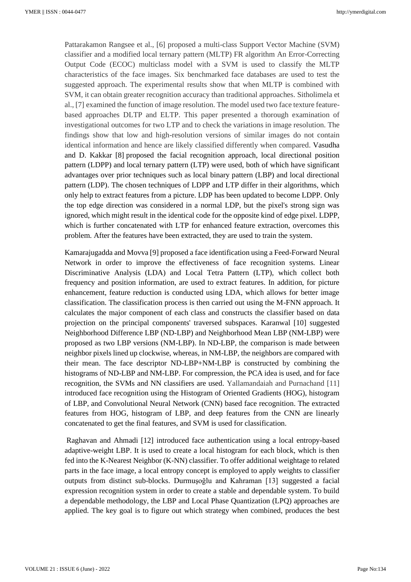Pattarakamon Rangsee et al., [6] proposed a multi-class Support Vector Machine (SVM) classifier and a modified local ternary pattern (MLTP) FR algorithm An Error-Correcting Output Code (ECOC) multiclass model with a SVM is used to classify the MLTP characteristics of the face images. Six benchmarked face databases are used to test the suggested approach. The experimental results show that when MLTP is combined with SVM, it can obtain greater recognition accuracy than traditional approaches. Sitholimela et al., [7] examined the function of image resolution. The model used two face texture featurebased approaches DLTP and ELTP. This paper presented a thorough examination of investigational outcomes for two LTP and to check the variations in image resolution. The findings show that low and high-resolution versions of similar images do not contain identical information and hence are likely classified differently when compared. Vasudha and D. Kakkar [8] proposed the facial recognition approach, local directional position pattern (LDPP) and local ternary pattern (LTP) were used, both of which have significant advantages over prior techniques such as local binary pattern (LBP) and local directional pattern (LDP). The chosen techniques of LDPP and LTP differ in their algorithms, which only help to extract features from a picture. LDP has been updated to become LDPP. Only the top edge direction was considered in a normal LDP, but the pixel's strong sign was ignored, which might result in the identical code for the opposite kind of edge pixel. LDPP, which is further concatenated with LTP for enhanced feature extraction, overcomes this problem. After the features have been extracted, they are used to train the system.

Kamarajugadda and Movva [9] proposed a face identification using a Feed-Forward Neural Network in order to improve the effectiveness of face recognition systems. Linear Discriminative Analysis (LDA) and Local Tetra Pattern (LTP), which collect both frequency and position information, are used to extract features. In addition, for picture enhancement, feature reduction is conducted using LDA, which allows for better image classification. The classification process is then carried out using the M-FNN approach. It calculates the major component of each class and constructs the classifier based on data projection on the principal components' traversed subspaces. Karanwal [10] suggested Neighborhood Difference LBP (ND-LBP) and Neighborhood Mean LBP (NM-LBP) were proposed as two LBP versions (NM-LBP). In ND-LBP, the comparison is made between neighbor pixels lined up clockwise, whereas, in NM-LBP, the neighbors are compared with their mean. The face descriptor ND-LBP+NM-LBP is constructed by combining the histograms of ND-LBP and NM-LBP. For compression, the PCA idea is used, and for face recognition, the SVMs and NN classifiers are used. Yallamandaiah and Purnachand [11] introduced face recognition using the Histogram of Oriented Gradients (HOG), histogram of LBP, and Convolutional Neural Network (CNN) based face recognition. The extracted features from HOG, histogram of LBP, and deep features from the CNN are linearly concatenated to get the final features, and SVM is used for classification.

Raghavan and Ahmadi [12] introduced face authentication using a local entropy-based adaptive-weight LBP. It is used to create a local histogram for each block, which is then fed into the K-Nearest Neighbor (K-NN) classifier. To offer additional weightage to related parts in the face image, a local entropy concept is employed to apply weights to classifier outputs from distinct sub-blocks. Durmuşoğlu and Kahraman [13] suggested a facial expression recognition system in order to create a stable and dependable system. To build a dependable methodology, the LBP and Local Phase Quantization (LPQ) approaches are applied. The key goal is to figure out which strategy when combined, produces the best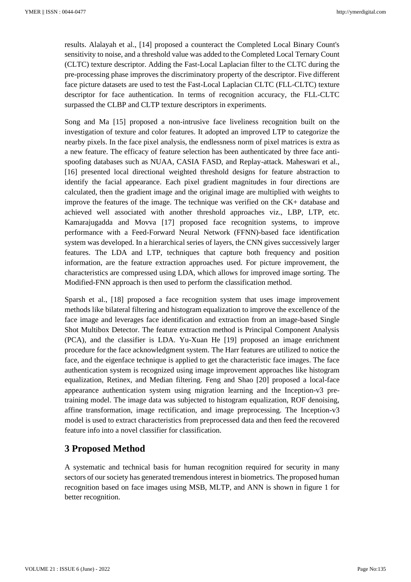results. Alalayah et al., [14] proposed a counteract the Completed Local Binary Count's sensitivity to noise, and a threshold value was added to the Completed Local Ternary Count (CLTC) texture descriptor. Adding the Fast-Local Laplacian filter to the CLTC during the pre-processing phase improves the discriminatory property of the descriptor. Five different face picture datasets are used to test the Fast-Local Laplacian CLTC (FLL-CLTC) texture descriptor for face authentication. In terms of recognition accuracy, the FLL-CLTC surpassed the CLBP and CLTP texture descriptors in experiments.

Song and Ma [15] proposed a non-intrusive face liveliness recognition built on the investigation of texture and color features. It adopted an improved LTP to categorize the nearby pixels. In the face pixel analysis, the endlessness norm of pixel matrices is extra as a new feature. The efficacy of feature selection has been authenticated by three face antispoofing databases such as NUAA, CASIA FASD, and Replay-attack. Maheswari et al., [16] presented local directional weighted threshold designs for feature abstraction to identify the facial appearance. Each pixel gradient magnitudes in four directions are calculated, then the gradient image and the original image are multiplied with weights to improve the features of the image. The technique was verified on the CK+ database and achieved well associated with another threshold approaches viz., LBP, LTP, etc. Kamarajugadda and Movva [17] proposed face recognition systems, to improve performance with a Feed-Forward Neural Network (FFNN)-based face identification system was developed. In a hierarchical series of layers, the CNN gives successively larger features. The LDA and LTP, techniques that capture both frequency and position information, are the feature extraction approaches used. For picture improvement, the characteristics are compressed using LDA, which allows for improved image sorting. The Modified-FNN approach is then used to perform the classification method.

Sparsh et al., [18] proposed a face recognition system that uses image improvement methods like bilateral filtering and histogram equalization to improve the excellence of the face image and leverages face identification and extraction from an image-based Single Shot Multibox Detector. The feature extraction method is Principal Component Analysis (PCA), and the classifier is LDA. Yu-Xuan He [19] proposed an image enrichment procedure for the face acknowledgment system. The Harr features are utilized to notice the face, and the eigenface technique is applied to get the characteristic face images. The face authentication system is recognized using image improvement approaches like histogram equalization, Retinex, and Median filtering. Feng and Shao [20] proposed a local-face appearance authentication system using migration learning and the Inception-v3 pretraining model. The image data was subjected to histogram equalization, ROF denoising, affine transformation, image rectification, and image preprocessing. The Inception-v3 model is used to extract characteristics from preprocessed data and then feed the recovered feature info into a novel classifier for classification.

# **3 Proposed Method**

A systematic and technical basis for human recognition required for security in many sectors of our society has generated tremendous interest in biometrics. The proposed human recognition based on face images using MSB, MLTP, and ANN is shown in figure 1 for better recognition.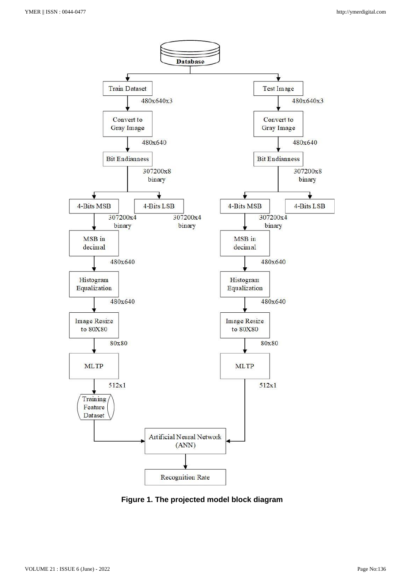

**Figure 1. The projected model block diagram**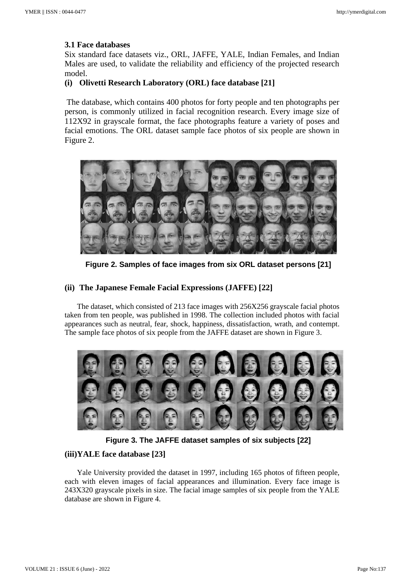#### **3.1 Face databases**

Six standard face datasets viz., ORL, JAFFE, YALE, Indian Females, and Indian Males are used, to validate the reliability and efficiency of the projected research model.

#### **(i) Olivetti Research Laboratory (ORL) face database [21]**

The database, which contains 400 photos for forty people and ten photographs per person, is commonly utilized in facial recognition research. Every image size of 112X92 in grayscale format, the face photographs feature a variety of poses and facial emotions. The ORL dataset sample face photos of six people are shown in Figure 2.



**Figure 2. Samples of face images from six ORL dataset persons [21]**

#### **(ii) The Japanese Female Facial Expressions (JAFFE) [22]**

The dataset, which consisted of 213 face images with 256X256 grayscale facial photos taken from ten people, was published in 1998. The collection included photos with facial appearances such as neutral, fear, shock, happiness, dissatisfaction, wrath, and contempt. The sample face photos of six people from the JAFFE dataset are shown in Figure 3.



**Figure 3. The JAFFE dataset samples of six subjects [22]**

#### **(iii)YALE face database [23]**

Yale University provided the dataset in 1997, including 165 photos of fifteen people, each with eleven images of facial appearances and illumination. Every face image is 243X320 grayscale pixels in size. The facial image samples of six people from the YALE database are shown in Figure 4.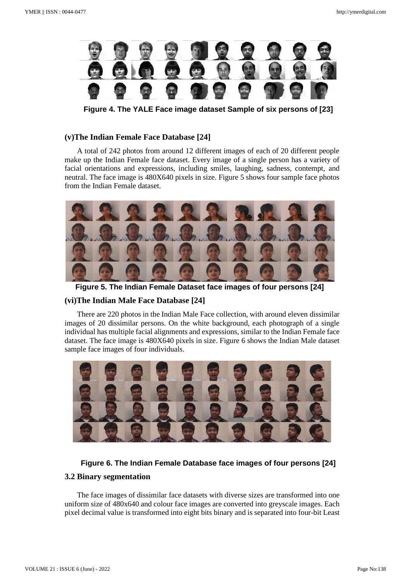

**Figure 4. The YALE Face image dataset Sample of six persons of [23]**

#### **(v)The Indian Female Face Database [24]**

A total of 242 photos from around 12 different images of each of 20 different people make up the Indian Female face dataset. Every image of a single person has a variety of facial orientations and expressions, including smiles, laughing, sadness, contempt, and neutral. The face image is 480X640 pixels in size. Figure 5 shows four sample face photos from the Indian Female dataset.



**Figure 5. The Indian Female Dataset face images of four persons [24]**

#### **(vi)The Indian Male Face Database [24]**

There are 220 photos in the Indian Male Face collection, with around eleven dissimilar images of 20 dissimilar persons. On the white background, each photograph of a single individual has multiple facial alignments and expressions, similar to the Indian Female face dataset. The face image is 480X640 pixels in size. Figure 6 shows the Indian Male dataset sample face images of four individuals.



#### **Figure 6. The Indian Female Database face images of four persons [24]**

#### **3.2 Binary segmentation**

The face images of dissimilar face datasets with diverse sizes are transformed into one uniform size of 480x640 and colour face images are converted into greyscale images. Each pixel decimal value is transformed into eight bits binary and is separated into four-bit Least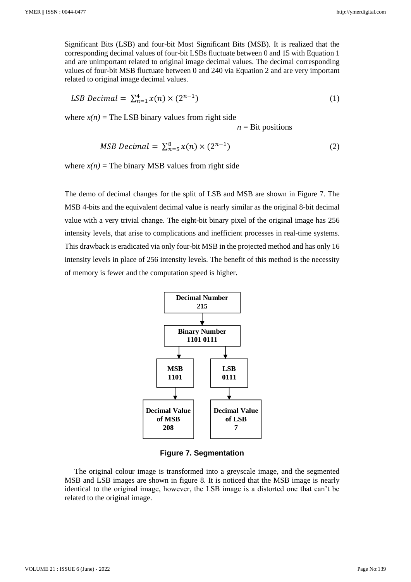Significant Bits (LSB) and four-bit Most Significant Bits (MSB). It is realized that the corresponding decimal values of four-bit LSBs fluctuate between 0 and 15 with Equation 1 and are unimportant related to original image decimal values. The decimal corresponding values of four-bit MSB fluctuate between 0 and 240 via Equation 2 and are very important related to original image decimal values.

$$
LSB\ Devimal = \sum_{n=1}^{4} x(n) \times (2^{n-1})
$$
\n(1)

where  $x(n)$  = The LSB binary values from right side

 $n = \text{Bit positions}$ 

$$
MSB\ Devimal = \sum_{n=5}^{8} x(n) \times (2^{n-1})
$$
 (2)

where  $x(n)$  = The binary MSB values from right side

The demo of decimal changes for the split of LSB and MSB are shown in Figure 7. The MSB 4-bits and the equivalent decimal value is nearly similar as the original 8-bit decimal value with a very trivial change. The eight-bit binary pixel of the original image has 256 intensity levels, that arise to complications and inefficient processes in real-time systems. This drawback is eradicated via only four-bit MSB in the projected method and has only 16 intensity levels in place of 256 intensity levels. The benefit of this method is the necessity of memory is fewer and the computation speed is higher.



**Figure 7. Segmentation**

The original colour image is transformed into a greyscale image, and the segmented MSB and LSB images are shown in figure 8. It is noticed that the MSB image is nearly identical to the original image, however, the LSB image is a distorted one that can't be related to the original image.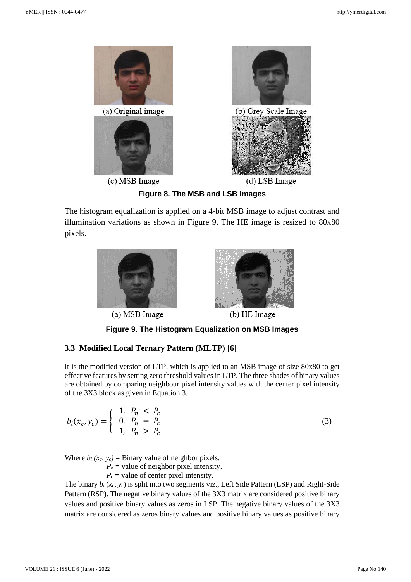

**Figure 8. The MSB and LSB Images**

The histogram equalization is applied on a 4-bit MSB image to adjust contrast and illumination variations as shown in Figure 9. The HE image is resized to 80x80 pixels.



(a) MSB Image



(b) HE Image

**Figure 9. The Histogram Equalization on MSB Images**

### **3.3 Modified Local Ternary Pattern (MLTP) [6]**

It is the modified version of LTP, which is applied to an MSB image of size 80x80 to get effective features by setting zero threshold values in LTP. The three shades of binary values are obtained by comparing neighbour pixel intensity values with the center pixel intensity of the 3X3 block as given in Equation 3.

$$
b_i(x_c, y_c) = \begin{cases} -1, & P_n < P_c \\ 0, & P_n = P_c \\ 1, & P_n > P_c \end{cases} \tag{3}
$$

Where  $b_i$   $(x_c, y_c)$  = Binary value of neighbor pixels.

 $P_n$  = value of neighbor pixel intensity.

 $P_c$  = value of center pixel intensity.

The binary *b<sup>i</sup>* (*xc, yc*) is split into two segments viz., Left Side Pattern (LSP) and Right-Side Pattern (RSP). The negative binary values of the 3X3 matrix are considered positive binary values and positive binary values as zeros in LSP. The negative binary values of the 3X3 matrix are considered as zeros binary values and positive binary values as positive binary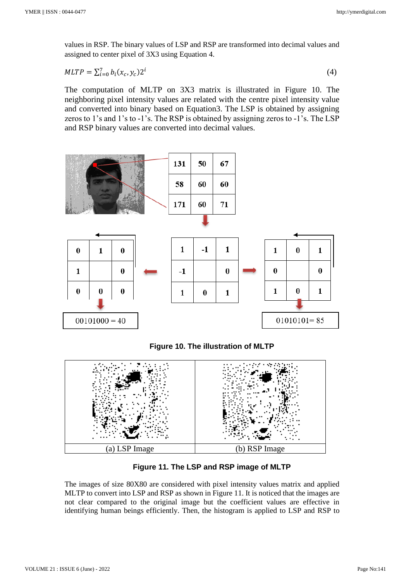values in RSP. The binary values of LSP and RSP are transformed into decimal values and assigned to center pixel of 3X3 using Equation 4.

$$
MLTP = \sum_{i=0}^{7} b_i(x_c, y_c) 2^i
$$
 (4)

The computation of MLTP on 3X3 matrix is illustrated in Figure 10. The neighboring pixel intensity values are related with the centre pixel intensity value and converted into binary based on Equation3. The LSP is obtained by assigning zeros to 1's and 1's to -1's. The RSP is obtained by assigning zeros to -1's. The LSP and RSP binary values are converted into decimal values.



**Figure 10. The illustration of MLTP**



**Figure 11. The LSP and RSP image of MLTP**

The images of size 80X80 are considered with pixel intensity values matrix and applied MLTP to convert into LSP and RSP as shown in Figure 11. It is noticed that the images are not clear compared to the original image but the coefficient values are effective in identifying human beings efficiently. Then, the histogram is applied to LSP and RSP to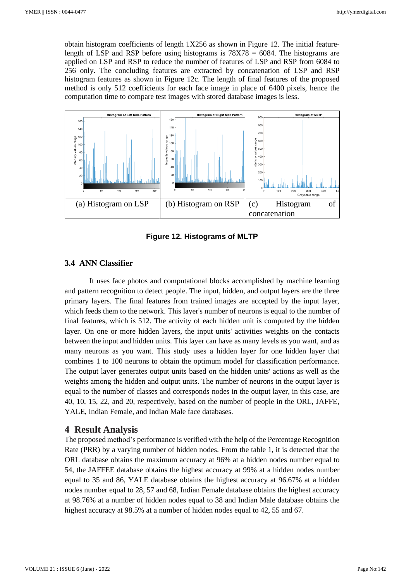obtain histogram coefficients of length  $1X256$  as shown in Figure 12. The initial featurelength of LSP and RSP before using histograms is 78X78 = 6084. The histograms are applied on LSP and RSP to reduce the number of features of LSP and RSP from 6084 to 256 only. The concluding features are extracted by concatenation of LSP and RSP histogram features as shown in Figure 12c. The length of final features of the proposed method is only 512 coefficients for each face image in place of 6400 pixels, hence the computation time to compare test images with stored database images is less.



**Figure 12. Histograms of MLTP**

#### **3.4 ANN Classifier**

It uses face photos and computational blocks accomplished by machine learning and pattern recognition to detect people. The input, hidden, and output layers are the three primary layers. The final features from trained images are accepted by the input layer, which feeds them to the network. This layer's number of neurons is equal to the number of final features, which is 512. The activity of each hidden unit is computed by the hidden layer. On one or more hidden layers, the input units' activities weights on the contacts between the input and hidden units. This layer can have as many levels as you want, and as many neurons as you want. This study uses a hidden layer for one hidden layer that combines 1 to 100 neurons to obtain the optimum model for classification performance. The output layer generates output units based on the hidden units' actions as well as the weights among the hidden and output units. The number of neurons in the output layer is equal to the number of classes and corresponds nodes in the output layer, in this case, are 40, 10, 15, 22, and 20, respectively, based on the number of people in the ORL, JAFFE, YALE, Indian Female, and Indian Male face databases.

#### **4 Result Analysis**

The proposed method's performance is verified with the help of the Percentage Recognition Rate (PRR) by a varying number of hidden nodes. From the table 1, it is detected that the ORL database obtains the maximum accuracy at 96% at a hidden nodes number equal to 54, the JAFFEE database obtains the highest accuracy at 99% at a hidden nodes number equal to 35 and 86, YALE database obtains the highest accuracy at 96.67% at a hidden nodes number equal to 28, 57 and 68, Indian Female database obtains the highest accuracy at 98.76% at a number of hidden nodes equal to 38 and Indian Male database obtains the highest accuracy at 98.5% at a number of hidden nodes equal to 42, 55 and 67.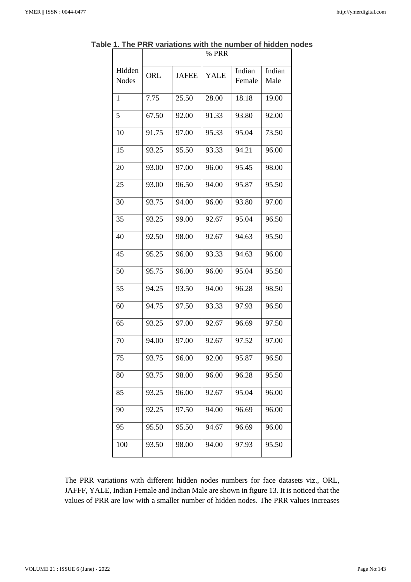|                        | % PRR |              |       |                  |                |
|------------------------|-------|--------------|-------|------------------|----------------|
| Hidden<br><b>Nodes</b> | ORL   | <b>JAFEE</b> | YALE  | Indian<br>Female | Indian<br>Male |
| 1                      | 7.75  | 25.50        | 28.00 | 18.18            | 19.00          |
| 5                      | 67.50 | 92.00        | 91.33 | 93.80            | 92.00          |
| 10                     | 91.75 | 97.00        | 95.33 | 95.04            | 73.50          |
| 15                     | 93.25 | 95.50        | 93.33 | 94.21            | 96.00          |
| 20                     | 93.00 | 97.00        | 96.00 | 95.45            | 98.00          |
| 25                     | 93.00 | 96.50        | 94.00 | 95.87            | 95.50          |
| 30                     | 93.75 | 94.00        | 96.00 | 93.80            | 97.00          |
| 35                     | 93.25 | 99.00        | 92.67 | 95.04            | 96.50          |
| 40                     | 92.50 | 98.00        | 92.67 | 94.63            | 95.50          |
| 45                     | 95.25 | 96.00        | 93.33 | 94.63            | 96.00          |
| 50                     | 95.75 | 96.00        | 96.00 | 95.04            | 95.50          |
| 55                     | 94.25 | 93.50        | 94.00 | 96.28            | 98.50          |
| 60                     | 94.75 | 97.50        | 93.33 | 97.93            | 96.50          |
| 65                     | 93.25 | 97.00        | 92.67 | 96.69            | 97.50          |
| 70                     | 94.00 | 97.00        | 92.67 | 97.52            | 97.00          |
| 75                     | 93.75 | 96.00        | 92.00 | 95.87            | 96.50          |
| 80                     | 93.75 | 98.00        | 96.00 | 96.28            | 95.50          |
| 85                     | 93.25 | 96.00        | 92.67 | 95.04            | 96.00          |
| 90                     | 92.25 | 97.50        | 94.00 | 96.69            | 96.00          |
| 95                     | 95.50 | 95.50        | 94.67 | 96.69            | 96.00          |
| 100                    | 93.50 | 98.00        | 94.00 | 97.93            | 95.50          |

**Table 1. The PRR variations with the number of hidden nodes**

The PRR variations with different hidden nodes numbers for face datasets viz., ORL, JAFFF, YALE, Indian Female and Indian Male are shown in figure 13. It is noticed that the values of PRR are low with a smaller number of hidden nodes. The PRR values increases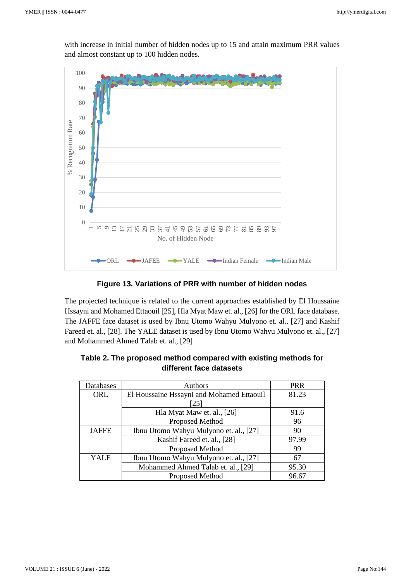with increase in initial number of hidden nodes up to 15 and attain maximum PRR values and almost constant up to 100 hidden nodes.



**Figure 13. Variations of PRR with number of hidden nodes**

The projected technique is related to the current approaches established by El Houssaine Hssayni and Mohamed Ettaouil [25], Hla Myat Maw et. al., [26] for the ORL face database. The JAFFE face dataset is used by Ibnu Utomo Wahyu Mulyono et. al., [27] and Kashif Fareed et. al., [28]. The YALE dataset is used by Ibnu Utomo Wahyu Mulyono et. al., [27] and Mohammed Ahmed Talab et. al., [29]

| Databases    | Authors                                   | <b>PRR</b> |
|--------------|-------------------------------------------|------------|
| <b>ORL</b>   | El Houssaine Hssayni and Mohamed Ettaouil | 81.23      |
|              | [25]                                      |            |
|              | Hla Myat Maw et. al., [26]                | 91.6       |
|              | Proposed Method                           | 96         |
| <b>JAFFE</b> | Ibnu Utomo Wahyu Mulyono et. al., [27]    | 90         |
|              | Kashif Fareed et. al., [28]               | 97.99      |
|              | Proposed Method                           | 99         |
| <b>YALE</b>  | Ibnu Utomo Wahyu Mulyono et. al., [27]    | 67         |
|              | Mohammed Ahmed Talab et. al., [29]        | 95.30      |
|              | Proposed Method                           | 96.67      |

| Table 2. The proposed method compared with existing methods for |
|-----------------------------------------------------------------|
| different face datasets                                         |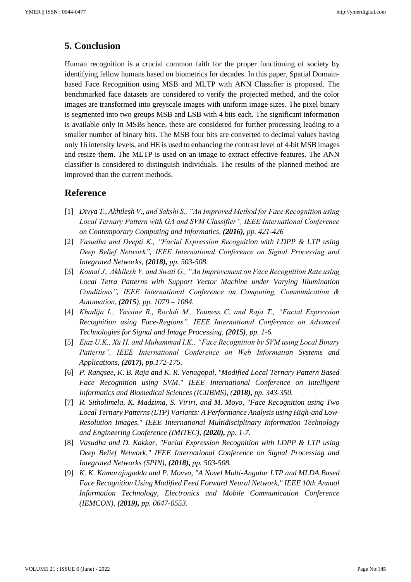# **5. Conclusion**

Human recognition is a crucial common faith for the proper functioning of society by identifying fellow humans based on biometrics for decades. In this paper, Spatial Domainbased Face Recognition using MSB and MLTP with ANN Classifier is proposed. The benchmarked face datasets are considered to verify the projected method, and the color images are transformed into greyscale images with uniform image sizes. The pixel binary is segmented into two groups MSB and LSB with 4 bits each. The significant information is available only in MSBs hence, these are considered for further processing leading to a smaller number of binary bits. The MSB four bits are converted to decimal values having only 16 intensity levels, and HE is used to enhancing the contrast level of 4-bit MSB images and resize them. The MLTP is used on an image to extract effective features. The ANN classifier is considered to distinguish individuals. The results of the planned method are improved than the current methods.

### **Reference**

- [1] *Divya T., Akhilesh V., and Sakshi S., "An Improved Method for Face Recognition using Local Ternary Pattern with GA and SVM Classifier", IEEE International Conference on Contemporary Computing and Informatics, (2016), pp. 421-426*
- [2] *Vasudha and Deepti K., "Facial Expression Recognition with LDPP & LTP using Deep Belief Network", IEEE International Conference on Signal Processing and Integrated Networks, (2018), pp. 503-508.*
- [3] *Komal J., Akhilesh V. and Swati G., "An Improvement on Face Recognition Rate using Local Tetra Patterns with Support Vector Machine under Varying Illumination Conditions", IEEE International Conference on Computing, Communication & Automation, (2015), pp. 1079 – 1084.*
- [4] *Khadija L., Yassine R., Rochdi M., Youness C. and Raja T., "Facial Expression Recognition using Face-Regions", IEEE International Conference on Advanced Technologies for Signal and Image Processing, (2015), pp. 1-6.*
- [5] *Ejaz U.K., Xu H. and Muhammad I.K., "Face Recognition by SVM using Local Binary Patterns", IEEE International Conference on Web Information Systems and Applications, (2017), pp.172-175.*
- [6] *P. Rangsee, K. B. Raja and K. R. Venugopal, "Modified Local Ternary Pattern Based Face Recognition using SVM," IEEE International Conference on Intelligent Informatics and Biomedical Sciences (ICIIBMS), (2018), pp. 343-350.*
- [7] *R. Sitholimela, K. Madzima, S. Viriri, and M. Moyo, "Face Recognition using Two Local Ternary Patterns (LTP) Variants: A Performance Analysis using High-and Low-Resolution Images," IEEE International Multidisciplinary Information Technology and Engineering Conference (IMITEC), (2020), pp. 1-7.*
- [8] *Vasudha and D. Kakkar, "Facial Expression Recognition with LDPP & LTP using Deep Belief Network," IEEE International Conference on Signal Processing and Integrated Networks (SPIN), (2018), pp. 503-508.*
- [9] *K. K. Kamarajugadda and P. Movva, "A Novel Multi-Angular LTP and MLDA Based Face Recognition Using Modified Feed Forward Neural Network," IEEE 10th Annual Information Technology, Electronics and Mobile Communication Conference (IEMCON), (2019), pp. 0647-0553.*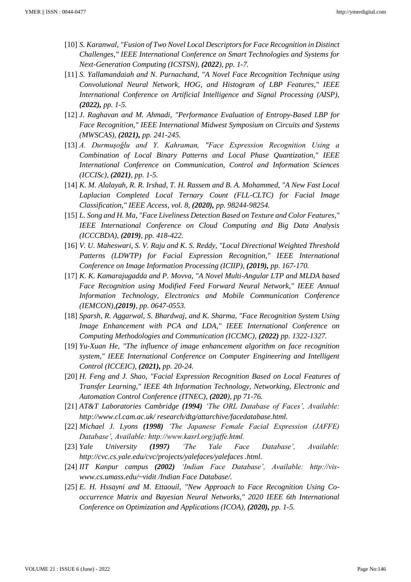- [10] *S. Karanwal, "Fusion of Two Novel Local Descriptors for Face Recognition in Distinct Challenges," IEEE International Conference on Smart Technologies and Systems for Next-Generation Computing (ICSTSN), (2022), pp. 1-7.*
- [11] *S. Yallamandaiah and N. Purnachand, "A Novel Face Recognition Technique using Convolutional Neural Network, HOG, and Histogram of LBP Features," IEEE International Conference on Artificial Intelligence and Signal Processing (AISP), (2022), pp. 1-5.*
- [12] *J. Raghavan and M. Ahmadi, "Performance Evaluation of Entropy-Based LBP for Face Recognition," IEEE International Midwest Symposium on Circuits and Systems (MWSCAS), (2021), pp. 241-245.*
- [13] *A. Durmuşoğlu and Y. Kahraman, "Face Expression Recognition Using a Combination of Local Binary Patterns and Local Phase Quantization," IEEE International Conference on Communication, Control and Information Sciences (ICCISc), (2021), pp. 1-5.*
- [14] *K. M. Alalayah, R. R. Irshad, T. H. Rassem and B. A. Mohammed, "A New Fast Local Laplacian Completed Local Ternary Count (FLL-CLTC) for Facial Image Classification," IEEE Access, vol. 8, (2020), pp. 98244-98254.*
- [15] *L. Song and H. Ma, "Face Liveliness Detection Based on Texture and Color Features," IEEE International Conference on Cloud Computing and Big Data Analysis (ICCCBDA), (2019), pp. 418-422.*
- [16] *V. U. Maheswari, S. V. Raju and K. S. Reddy, "Local Directional Weighted Threshold Patterns (LDWTP) for Facial Expression Recognition," IEEE International Conference on Image Information Processing (ICIIP), (2019), pp. 167-170.*
- [17] *K. K. Kamarajugadda and P. Movva, "A Novel Multi-Angular LTP and MLDA based Face Recognition using Modified Feed Forward Neural Network," IEEE Annual Information Technology, Electronics and Mobile Communication Conference (IEMCON),(2019), pp. 0647-0553.*
- [18] *Sparsh, R. Aggarwal, S. Bhardwaj, and K. Sharma, "Face Recognition System Using Image Enhancement with PCA and LDA," IEEE International Conference on Computing Methodologies and Communication (ICCMC), (2022) pp. 1322-1327.*
- [19] *Yu-Xuan He, "The influence of image enhancement algorithm on face recognition system," IEEE International Conference on Computer Engineering and Intelligent Control (ICCEIC), (2021), pp. 20-24.*
- [20] *H. Feng and J. Shao, "Facial Expression Recognition Based on Local Features of Transfer Learning," IEEE 4th Information Technology, Networking, Electronic and Automation Control Conference (ITNEC), (2020), pp 71-76.*
- [21] *AT&T Laboratories Cambridge (1994) 'The ORL Database of Faces', Available: http://www.cl.cam.ac.uk/ research/dtg/attarchive/facedatabase.html.*
- [22] *Michael J. Lyons (1998) 'The Japanese Female Facial Expression (JAFFE) Database', Available: http://www.kasrl.org/jaffe.html.*
- [23] *Yale University (1997) 'The Yale Face Database', Available: http://cvc.cs.yale.edu/cvc/projects/yalefaces/yalefaces .html.*
- [24] *IIT Kanpur campus (2002) 'Indian Face Database', Available: http://viswww.cs.umass.edu/~vidit /Indian Face Database/.*
- [25] *E. H. Hssayni and M. Ettaouil, "New Approach to Face Recognition Using Cooccurrence Matrix and Bayesian Neural Networks," 2020 IEEE 6th International Conference on Optimization and Applications (ICOA), (2020), pp. 1-5.*